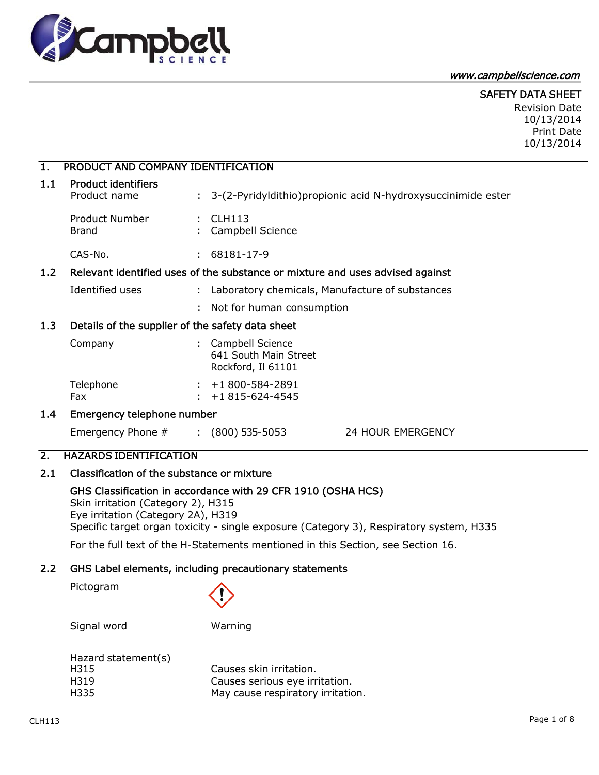

#### www.campbellscience.com

## SAFETY DATA SHEET

Revision Date 10/13/2014 Print Date 10/13/2014

## 1. PRODUCT AND COMPANY IDENTIFICATION

| <b>Product identifiers</b><br>Product name |  | : 3-(2-Pyridyldithio) propionic acid N-hydroxy succinimide ester |
|--------------------------------------------|--|------------------------------------------------------------------|
| Product Number<br>Brand                    |  | $\pm$ CLH113<br>: Campbell Science                               |
| CAS-No.                                    |  | 68181-17-9                                                       |

## 1.2 Relevant identified uses of the substance or mixture and uses advised against

- Identified uses : Laboratory chemicals, Manufacture of substances
	- : Not for human consumption

## 1.3 Details of the supplier of the safety data sheet

| Company          | : Campbell Science<br>641 South Main Street<br>Rockford, Il 61101 |
|------------------|-------------------------------------------------------------------|
| Telephone<br>Fax | $: +1800 - 584 - 2891$<br>$: +1815-624-4545$                      |

## 1.4 Emergency telephone number

Emergency Phone # : (800) 535-5053 24 HOUR EMERGENCY

## 2. HAZARDS IDENTIFICATION

## 2.1 Classification of the substance or mixture

#### GHS Classification in accordance with 29 CFR 1910 (OSHA HCS)

Skin irritation (Category 2), H315 Eye irritation (Category 2A), H319 Specific target organ toxicity - single exposure (Category 3), Respiratory system, H335

For the full text of the H-Statements mentioned in this Section, see Section 16.

## 2.2 GHS Label elements, including precautionary statements

Pictogram



Signal word Warning

| Hazard statement $(s)$ |                                   |
|------------------------|-----------------------------------|
| H315                   | Causes skin irritation.           |
| H319                   | Causes serious eye irritation.    |
| H335                   | May cause respiratory irritation. |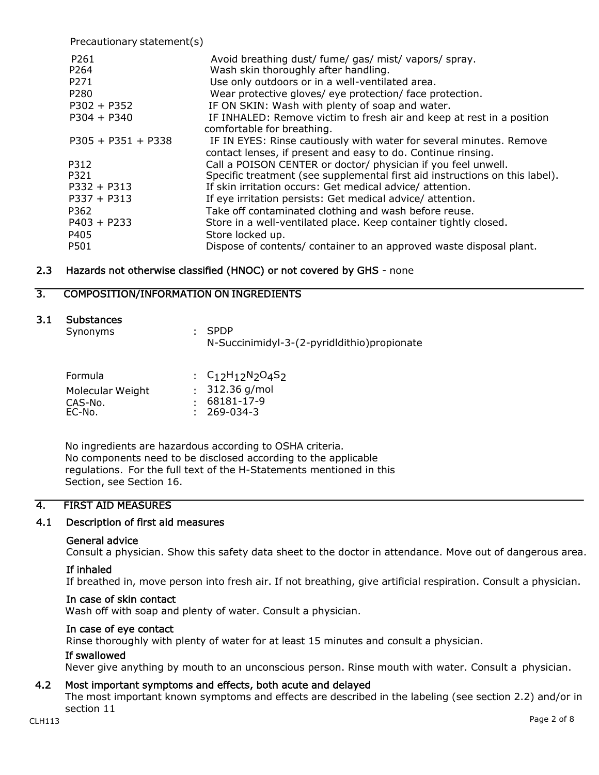Precautionary statement(s) P261 **Avoid breathing dust/ fume/ gas/ mist/ vapors/ spray.** P264 Wash skin thoroughly after handling. P271 Use only outdoors or in a well-ventilated area. P280 Wear protective gloves/ eye protection/ face protection. P302 + P352 IF ON SKIN: Wash with plenty of soap and water. P304 + P340 IF INHALED: Remove victim to fresh air and keep at rest in a position comfortable for breathing. P305 + P351 + P338 IF IN EYES: Rinse cautiously with water for several minutes. Remove contact lenses, if present and easy to do. Continue rinsing. P312 Call a POISON CENTER or doctor/ physician if you feel unwell. P321 Specific treatment (see supplemental first aid instructions on this label). P332 + P313 If skin irritation occurs: Get medical advice/ attention. P337 + P313 If eye irritation persists: Get medical advice/ attention. P362 Take off contaminated clothing and wash before reuse. P403 + P233 Store in a well-ventilated place. Keep container tightly closed. P405 Store locked up. P501 Dispose of contents/ container to an approved waste disposal plant.

## 2.3 Hazards not otherwise classified (HNOC) or not covered by GHS - none

## 3. COMPOSITION/INFORMATION ON INGREDIENTS

## 3.1 Substances

| Synonyms | $:$ SPDP                                     |
|----------|----------------------------------------------|
|          | N-Succinimidyl-3-(2-pyrididithio) propionate |

| Formula                     | : $C_{12}H_{12}N_{2}O_{4}S_{2}$        |
|-----------------------------|----------------------------------------|
| Molecular Weight<br>CAS-No. | $: 312.36$ g/mol<br>$: 68181 - 17 - 9$ |
| EC-No.                      | $: 269-034-3$                          |

No ingredients are hazardous according to OSHA criteria. No components need to be disclosed according to the applicable regulations. For the full text of the H-Statements mentioned in this Section, see Section 16.

## 4. FIRST AID MEASURES

## 4.1 Description of first aid measures

#### General advice

Consult a physician. Show this safety data sheet to the doctor in attendance. Move out of dangerous area.

#### If inhaled

If breathed in, move person into fresh air. If not breathing, give artificial respiration. Consult a physician.

#### In case of skin contact

Wash off with soap and plenty of water. Consult a physician.

#### In case of eye contact

Rinse thoroughly with plenty of water for at least 15 minutes and consult a physician.

#### If swallowed

Never give anything by mouth to an unconscious person. Rinse mouth with water. Consult a physician.

## 4.2 Most important symptoms and effects, both acute and delayed

The most important known symptoms and effects are described in the labeling (see section 2.2) and/or in section 11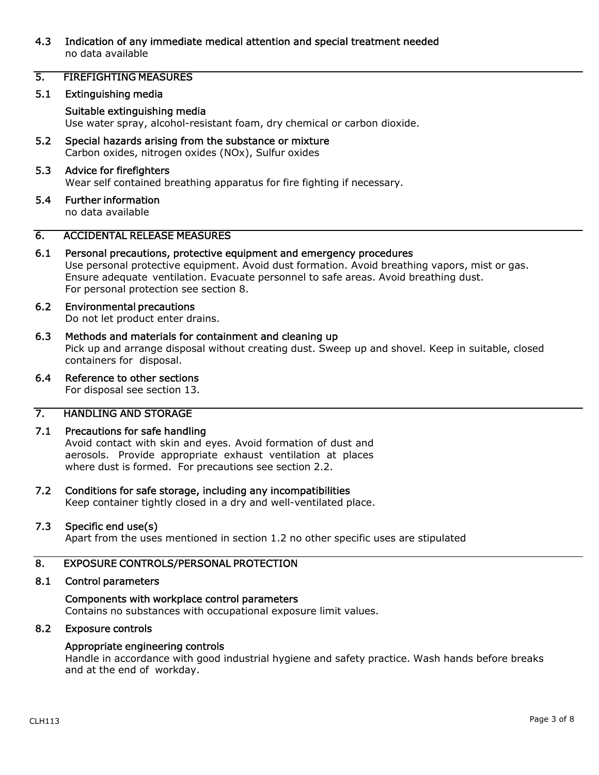## 4.3 Indication of any immediate medical attention and special treatment needed no data available

## 5. FIREFIGHTING MEASURES

#### 5.1 Extinguishing media

## Suitable extinguishing media

Use water spray, alcohol-resistant foam, dry chemical or carbon dioxide.

5.2 Special hazards arising from the substance or mixture Carbon oxides, nitrogen oxides (NOx), Sulfur oxides

#### 5.3 Advice for firefighters

Wear self contained breathing apparatus for fire fighting if necessary.

5.4 Further information

no data available

## 6. ACCIDENTAL RELEASE MEASURES

## 6.1 Personal precautions, protective equipment and emergency procedures

Use personal protective equipment. Avoid dust formation. Avoid breathing vapors, mist or gas. Ensure adequate ventilation. Evacuate personnel to safe areas. Avoid breathing dust. For personal protection see section 8.

# 6.2 Environmental precautions

Do not let product enter drains.

## 6.3 Methods and materials for containment and cleaning up

Pick up and arrange disposal without creating dust. Sweep up and shovel. Keep in suitable, closed containers for disposal.

## 6.4 Reference to other sections

For disposal see section 13.

## 7. HANDLING AND STORAGE

#### 7.1 Precautions for safe handling

Avoid contact with skin and eyes. Avoid formation of dust and aerosols. Provide appropriate exhaust ventilation at places where dust is formed. For precautions see section 2.2.

# 7.2 Conditions for safe storage, including any incompatibilities

Keep container tightly closed in a dry and well-ventilated place.

#### 7.3 Specific end use(s)

Apart from the uses mentioned in section 1.2 no other specific uses are stipulated

## 8. EXPOSURE CONTROLS/PERSONAL PROTECTION

#### 8.1 Control parameters

#### Components with workplace control parameters

Contains no substances with occupational exposure limit values.

#### 8.2 Exposure controls

## Appropriate engineering controls

Handle in accordance with good industrial hygiene and safety practice. Wash hands before breaks and at the end of workday.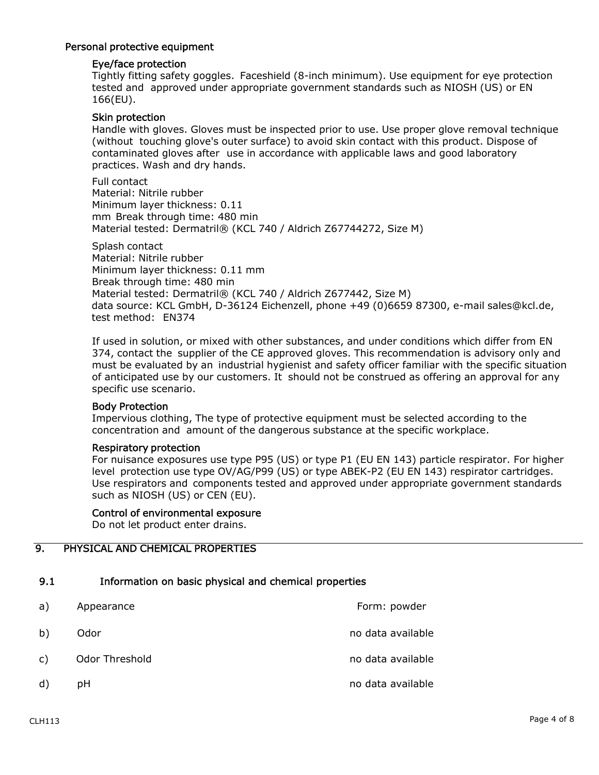#### Personal protective equipment

## Eye/face protection

Tightly fitting safety goggles. Faceshield (8-inch minimum). Use equipment for eye protection tested and approved under appropriate government standards such as NIOSH (US) or EN 166(EU).

#### Skin protection

Handle with gloves. Gloves must be inspected prior to use. Use proper glove removal technique (without touching glove's outer surface) to avoid skin contact with this product. Dispose of contaminated gloves after use in accordance with applicable laws and good laboratory practices. Wash and dry hands.

Full contact Material: Nitrile rubber Minimum layer thickness: 0.11 mm Break through time: 480 min Material tested: Dermatril® (KCL 740 / Aldrich Z67744272, Size M)

Splash contact Material: Nitrile rubber Minimum layer thickness: 0.11 mm Break through time: 480 min Material tested: Dermatril® (KCL 740 / Aldrich Z677442, Size M) data source: KCL GmbH, D-36124 Eichenzell, phone +49 (0)6659 87300, e-mail sales@kcl.de, test method: EN374

If used in solution, or mixed with other substances, and under conditions which differ from EN 374, contact the supplier of the CE approved gloves. This recommendation is advisory only and must be evaluated by an industrial hygienist and safety officer familiar with the specific situation of anticipated use by our customers. It should not be construed as offering an approval for any specific use scenario.

#### Body Protection

Impervious clothing, The type of protective equipment must be selected according to the concentration and amount of the dangerous substance at the specific workplace.

#### Respiratory protection

For nuisance exposures use type P95 (US) or type P1 (EU EN 143) particle respirator. For higher level protection use type OV/AG/P99 (US) or type ABEK-P2 (EU EN 143) respirator cartridges. Use respirators and components tested and approved under appropriate government standards such as NIOSH (US) or CEN (EU).

#### Control of environmental exposure

Do not let product enter drains.

## 9. PHYSICAL AND CHEMICAL PROPERTIES

## 9.1 Information on basic physical and chemical properties

a) Appearance **Form:** Appearance **Form:** Appearance b) Odor **no data available** c) Odor Threshold contract no data available no data available d) pH no data available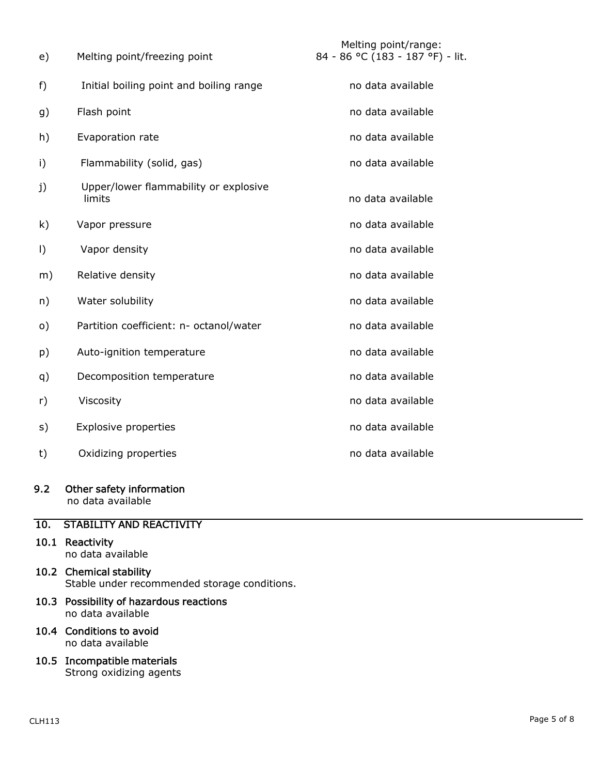| e)       | Melting point/freezing point                    | Melting point/range:<br>84 - 86 °C (183 - 187 °F) - lit. |
|----------|-------------------------------------------------|----------------------------------------------------------|
| f)       | Initial boiling point and boiling range         | no data available                                        |
| g)       | Flash point                                     | no data available                                        |
| h)       | Evaporation rate                                | no data available                                        |
| i)       | Flammability (solid, gas)                       | no data available                                        |
| j)       | Upper/lower flammability or explosive<br>limits | no data available                                        |
| k)       | Vapor pressure                                  | no data available                                        |
| $\vert$  | Vapor density                                   | no data available                                        |
| m)       | Relative density                                | no data available                                        |
| n)       | Water solubility                                | no data available                                        |
| $\circ)$ | Partition coefficient: n- octanol/water         | no data available                                        |
| p)       | Auto-ignition temperature                       | no data available                                        |
| q)       | Decomposition temperature                       | no data available                                        |
| r)       | Viscosity                                       | no data available                                        |
| s)       | <b>Explosive properties</b>                     | no data available                                        |
| t)       | Oxidizing properties                            | no data available                                        |

## 9.2 Other safety information

no data available

## 10. STABILITY AND REACTIVITY

- 10.1 Reactivity no data available
- 10.2 Chemical stability Stable under recommended storage conditions.
- 10.3 Possibility of hazardous reactions no data available
- 10.4 Conditions to avoid no data available
- 10.5 Incompatible materials Strong oxidizing agents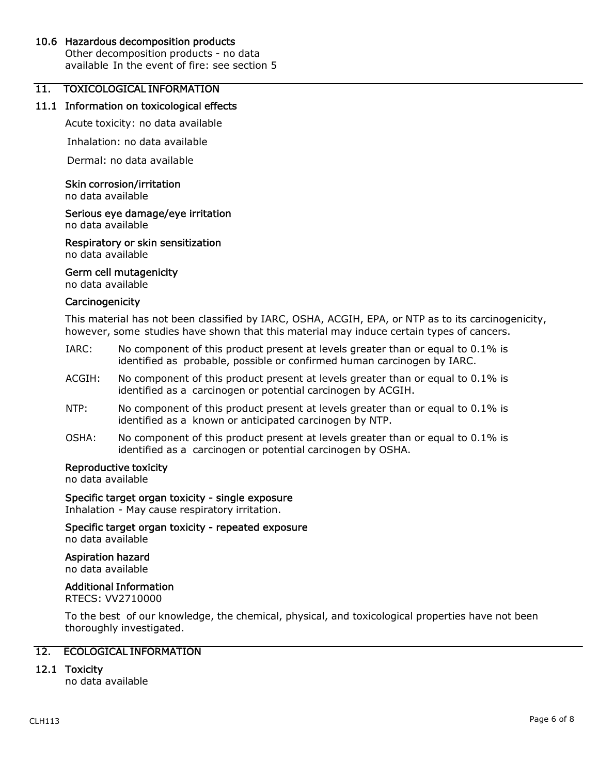## 10.6 Hazardous decomposition products

Other decomposition products - no data available In the event of fire: see section 5

## 11. TOXICOLOGICAL INFORMATION

#### 11.1 Information on toxicological effects

Acute toxicity: no data available

Inhalation: no data available

Dermal: no data available

#### Skin corrosion/irritation

no data available

## Serious eye damage/eye irritation

no data available

Respiratory or skin sensitization no data available

#### Germ cell mutagenicity

no data available

#### **Carcinogenicity**

This material has not been classified by IARC, OSHA, ACGIH, EPA, or NTP as to its carcinogenicity, however, some studies have shown that this material may induce certain types of cancers.

- IARC: No component of this product present at levels greater than or equal to 0.1% is identified as probable, possible or confirmed human carcinogen by IARC.
- ACGIH: No component of this product present at levels greater than or equal to 0.1% is identified as a carcinogen or potential carcinogen by ACGIH.
- NTP: No component of this product present at levels greater than or equal to 0.1% is identified as a known or anticipated carcinogen by NTP.
- OSHA: No component of this product present at levels greater than or equal to 0.1% is identified as a carcinogen or potential carcinogen by OSHA.

## Reproductive toxicity

no data available

#### Specific target organ toxicity - single exposure

Inhalation - May cause respiratory irritation.

Specific target organ toxicity - repeated exposure no data available

Aspiration hazard no data available

## Additional Information

RTECS: VV2710000

To the best of our knowledge, the chemical, physical, and toxicological properties have not been thoroughly investigated.

## 12. ECOLOGICAL INFORMATION

## 12.1 Toxicity

no data available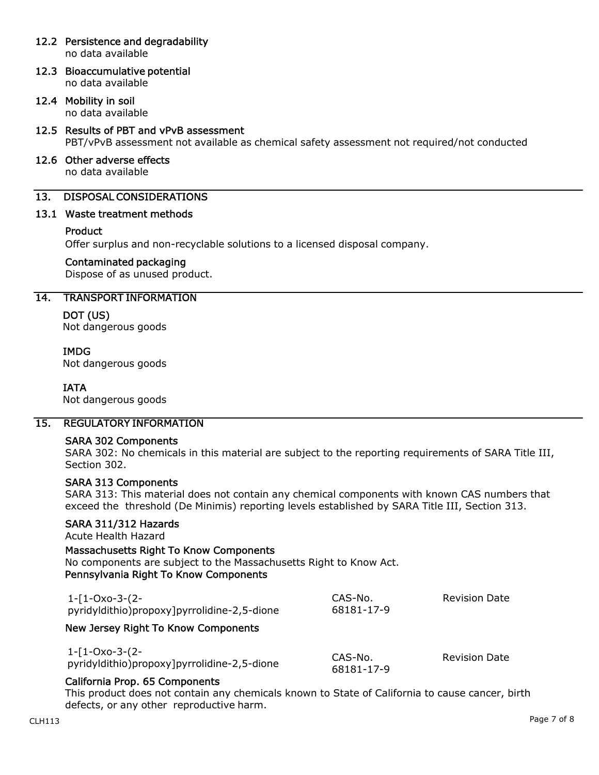## 12.2 Persistence and degradability

no data available

12.3 Bioaccumulative potential no data available

## 12.4 Mobility in soil

no data available

## 12.5 Results of PBT and vPvB assessment PBT/vPvB assessment not available as chemical safety assessment not required/not conducted

#### 12.6 Other adverse effects no data available

## 13. DISPOSAL CONSIDERATIONS

## 13.1 Waste treatment methods

## **Product**

Offer surplus and non-recyclable solutions to a licensed disposal company.

## Contaminated packaging

Dispose of as unused product.

## 14. TRANSPORT INFORMATION

## DOT (US)

Not dangerous goods

## IMDG

Not dangerous goods

## IATA

Not dangerous goods

## 15. REGULATORY INFORMATION

## SARA 302 Components

SARA 302: No chemicals in this material are subject to the reporting requirements of SARA Title III, Section 302.

## SARA 313 Components

SARA 313: This material does not contain any chemical components with known CAS numbers that exceed the threshold (De Minimis) reporting levels established by SARA Title III, Section 313.

## SARA 311/312 Hazards

Acute Health Hazard

## Massachusetts Right To Know Components

No components are subject to the Massachusetts Right to Know Act. Pennsylvania Right To Know Components

| 1-[1-Oxo-3-(2-<br>pyridyldithio)propoxy]pyrrolidine-2,5-dione | CAS-No.<br>68181-17-9 | <b>Revision Date</b> |
|---------------------------------------------------------------|-----------------------|----------------------|
| New Jersey Right To Know Components                           |                       |                      |

1-[1-Oxo-3-(2 pyridyldithio)propoxy]pyrrolidine-2,5-dione

CAS-No. 68181-17-9 Revision Date

## California Prop. 65 Components

This product does not contain any chemicals known to State of California to cause cancer, birth defects, or any other reproductive harm.